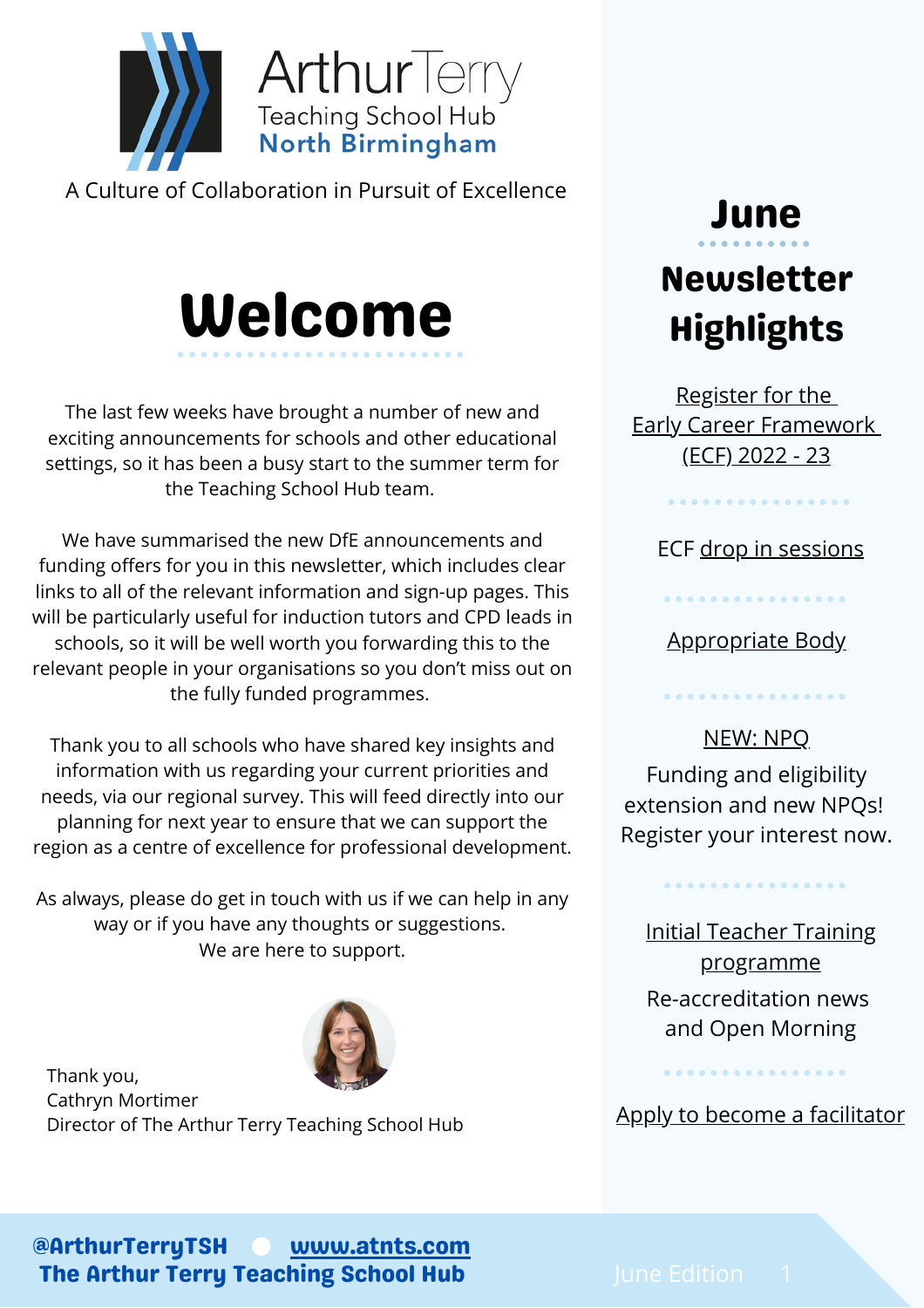

A Culture of Collaboration in Pursuit of Excellence

# Welcome

The last few weeks have brought a number of new and exciting announcements for schools and other educational settings, so it has been a busy start to the summer term for the Teaching School Hub team.

We have summarised the new DfE announcements and funding offers for you in this newsletter, which includes clear links to all of the relevant information and sign-up pages. This will be particularly useful for induction tutors and CPD leads in schools, so it will be well worth you forwarding this to the relevant people in your organisations so you don't miss out on the fully funded programmes.

Thank you to all schools who have shared key insights and information with us regarding your current priorities and needs, via our regional survey. This will feed directly into our planning for next year to ensure that we can support the region as a centre of excellence for professional development.

As always, please do get in touch with us if we can help in any way or if you have any thoughts or suggestions. We are here to support.

Thank you, Cathryn Mortimer Director of The Arthur Terry Teaching School Hub

# June Newsletter Highlights

[Register](#page-1-0) for the Early Career [Framework](#page-1-0) [\(ECF\)](#page-1-0) 2022 - 23

ECF drop in [sessions](#page-1-0)

. . . . . . . . . . . . . .

[Appropriate](#page-1-0) Body

. . . . . . . . . . . . . . . .

. . . . . . . . . . . . . . . .

[NEW:](#page-2-0) NPQ Funding and eligibility extension and new NPQs! Register your interest now.

. . . . . . . . . . . . . . . .

Initial Teacher Training [programme](#page-2-0) Re-accreditation news and Open Morning

Apply to become a [facilitator](#page-2-0)

. . . . . . . . . . . . . . . .

@ArthurTerryTSH The Arthur Terry Teaching School Hub [www.atnts.com](https://arthurterryteachingschool.atlp.org.uk/)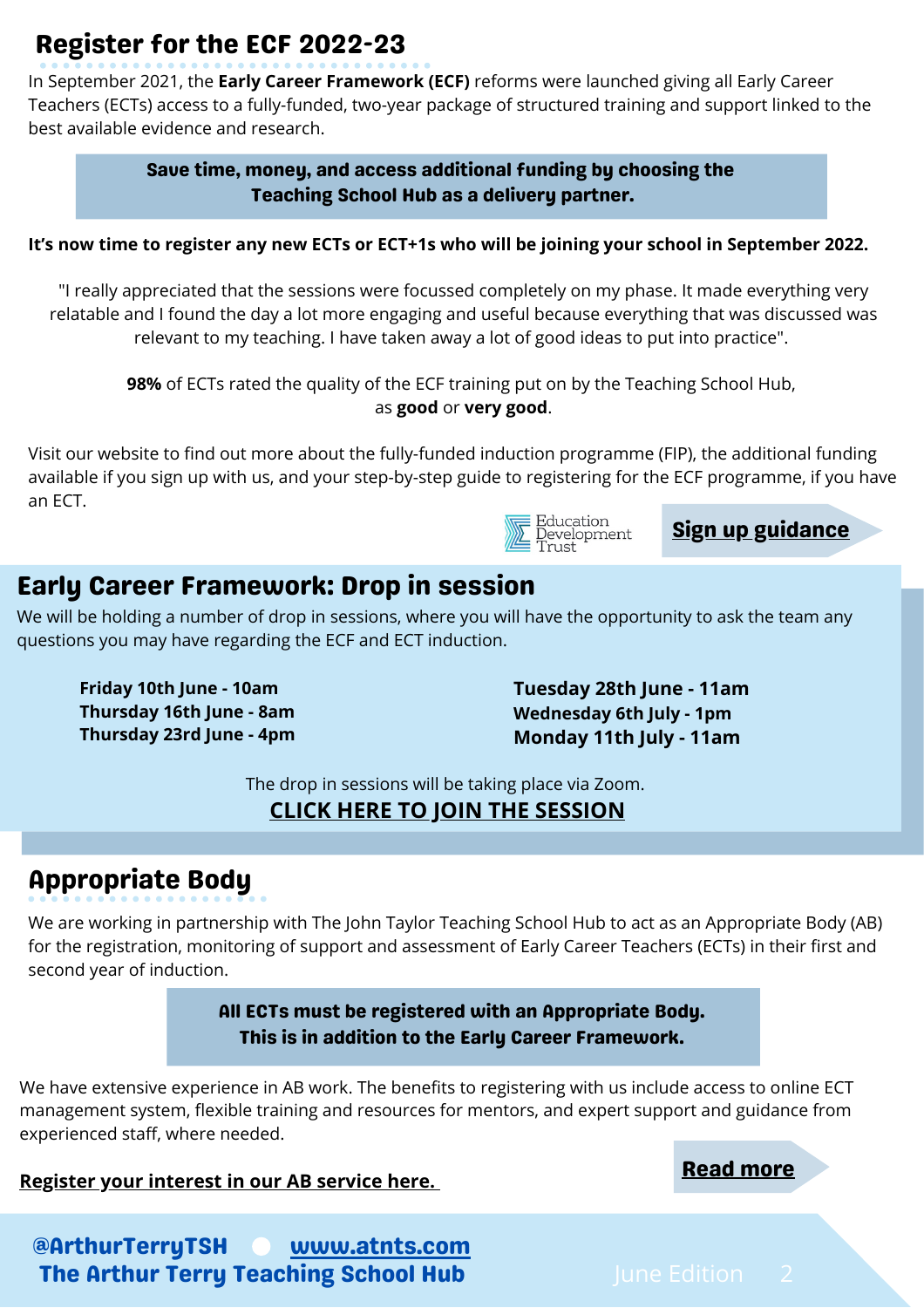## <span id="page-1-0"></span>Register for the ECF 2022-23

In September 2021, the **Early Career Framework (ECF)** reforms were launched giving all Early Career Teachers (ECTs) access to a fully-funded, two-year package of structured training and support linked to the best available evidence and research.

> Save time, money, and access additional funding by choosing the Teaching School Hub as a delivery partner.

#### It's now time to register any new ECTs or ECT+1s who will be joining your school in September 2022.

"I really appreciated that the sessions were focussed completely on my phase. It made everything very relatable and I found the day a lot more engaging and useful because everything that was discussed was relevant to my teaching. I have taken away a lot of good ideas to put into practice".

**98%** of ECTs rated the quality of the ECF training put on by the Teaching School Hub, as **good** or **very good**.

Visit our website to find out more about the fully-funded induction programme (FIP), the additional funding available if you sign up with us, and your step-by-step guide to registering for the ECF programme, if you have an ECT.



Sign up [guidance](https://arthurterryteachingschool.atlp.org.uk/nqt/early-career-framework/)

#### Early Career Framework: Drop in session

We will be holding a number of drop in sessions, where you will have the opportunity to ask the team any questions you may have regarding the ECF and ECT induction.

**Friday 10th June - 10am Thursday 16th June - 8am Thursday 23rd June - 4pm**

**Tuesday 28th June - 11am Wednesday 6th July - 1pm Monday 11th July - 11am**

The drop in sessions will be taking place via Zoom.

#### **CLICK HERE TO JOIN THE [SESSION](https://zoom.us/j/92769724073)**

### Appropriate Body

We are working in partnership with The John Taylor Teaching School Hub to act as an Appropriate Body (AB) for the registration, monitoring of support and assessment of Early Career Teachers (ECTs) in their first and second year of induction.

> All ECTs must be registered with an Appropriate Body. This is in addition to the Early Career Framework.

We have extensive experience in AB work. The benefits to registering with us include access to online ECT management system, flexible training and resources for mentors, and expert support and guidance from experienced staff, where needed.

**[Register your interest in our AB service here.](https://forms.office.com/Pages/ResponsePage.aspx?id=o9n4cUczDUCoUtIXzz1lTnN4WYsFcKRKlyL1Kz2O6SdUMlpGWEYxTzVTWDdMRTU1N1pTRVYyT1ZORy4u)** The same service here all the service here all the service here all the service here all the service here all the service here all the service here all the service here are

@ArthurTerryTSH [www.atnts.com](https://arthurterryteachingschool.atlp.org.uk/) The Arthur Terry Teaching School Hub